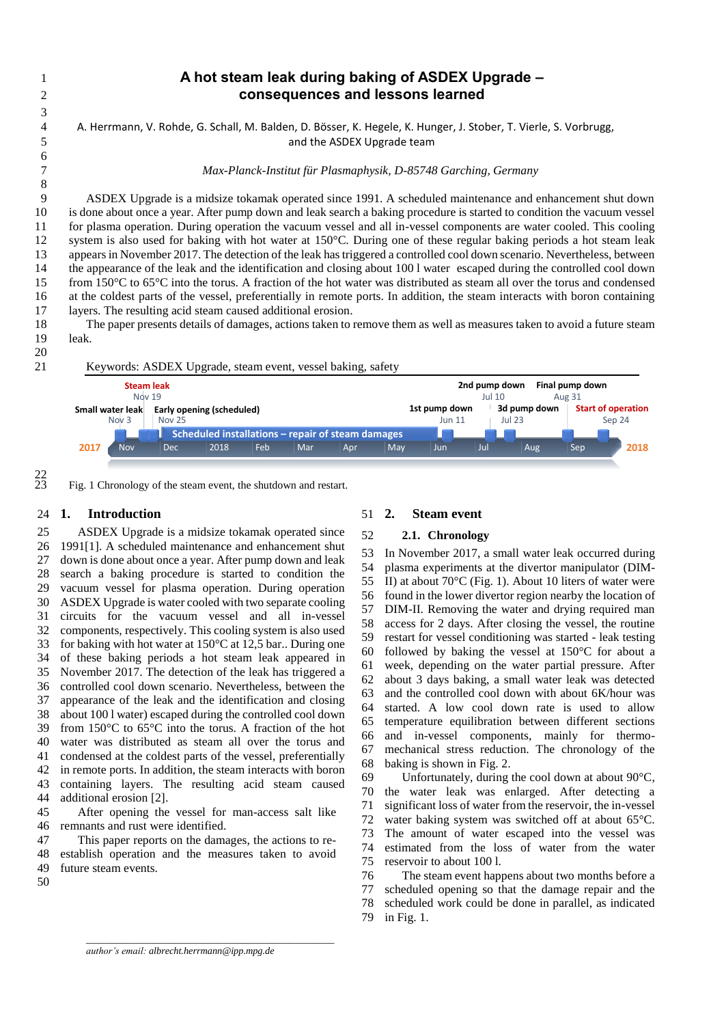A. Herrmann, V. Rohde, G. Schall, M. Balden, D. Bösser, K. Hegele, K. Hunger, J. Stober, T. Vierle, S. Vorbrugg, and the ASDEX Upgrade team

*Max-Planck-Institut für Plasmaphysik, D-85748 Garching, Germany*

 ASDEX Upgrade is a midsize tokamak operated since 1991. A scheduled maintenance and enhancement shut down is done about once a year. After pump down and leak search a baking procedure is started to condition the vacuum vessel for plasma operation. During operation the vacuum vessel and all in-vessel components are water cooled. This cooling system is also used for baking with hot water at 150°C. During one of these regular baking periods a hot steam leak appears in November 2017. The detection of the leak has triggered a controlled cool down scenario. Nevertheless, between the appearance of the leak and the identification and closing about 100 l water escaped during the controlled cool down from 150°C to 65°C into the torus. A fraction of the hot water was distributed as steam all over the torus and condensed at the coldest parts of the vessel, preferentially in remote ports. In addition, the steam interacts with boron containing layers. The resulting acid steam caused additional erosion.

18 The paper presents details of damages, actions taken to remove them as well as measures taken to avoid a future steam<br>19 Ieak. leak.

 Keywords: ASDEX Upgrade, steam event, vessel baking, safety Nov Dec 2018 Feb Mar Apr May Jun Jul Aug Sep **2018 Scheduled installations – repair of steam damages Small water leak** Nov 3 **Steam leak** Nov 19 **Early opening (scheduled)** Nov 25 **1st pump down** Jun 11 **2nd pump down** Jul 10 **3d pump down** Jul 23 **Final pump down** Aug 31 **Start of operation** Sep 24

 $\frac{22}{23}$ 

<span id="page-0-0"></span>Fig. 1 Chronology of the steam event, the shutdown and restart.

## **1. Introduction**

 ASDEX Upgrade is a midsize tokamak operated since 1991[1]. A scheduled maintenance and enhancement shut down is done about once a year. After pump down and leak search a baking procedure is started to condition the vacuum vessel for plasma operation. During operation ASDEX Upgrade is water cooled with two separate cooling circuits for the vacuum vessel and all in-vessel components, respectively. This cooling system is also used for baking with hot water at 150°C at 12,5 bar.. During one of these baking periods a hot steam leak appeared in November 2017. The detection of the leak has triggered a controlled cool down scenario. Nevertheless, between the appearance of the leak and the identification and closing about 100 l water) escaped during the controlled cool down from 150°C to 65°C into the torus. A fraction of the hot water was distributed as steam all over the torus and condensed at the coldest parts of the vessel, preferentially in remote ports. In addition, the steam interacts with boron containing layers. The resulting acid steam caused additional erosion [2].

 After opening the vessel for man-access salt like remnants and rust were identified.

 This paper reports on the damages, the actions to re- establish operation and the measures taken to avoid future steam events.

### **2.1. Chronology**

 In November 2017, a small water leak occurred during plasma experiments at the divertor manipulator (DIM- II) at about 70°C [\(Fig. 1\)](#page-0-0). About 10 liters of water were found in the lower divertor region nearby the location of 57 DIM-II. Removing the water and drying required man 58 access for 2 days. After closing the vessel, the routine access for 2 days. After closing the vessel, the routine restart for vessel conditioning was started - leak testing followed by baking the vessel at 150°C for about a week, depending on the water partial pressure. After about 3 days baking, a small water leak was detected and the controlled cool down with about 6K/hour was started. A low cool down rate is used to allow temperature equilibration between different sections and in-vessel components, mainly for thermo- mechanical stress reduction. The chronology of the baking is shown in [Fig. 2.](#page-1-0)

69 Unfortunately, during the cool down at about  $90^{\circ}$ C, the water leak was enlarged. After detecting a significant loss of water from the reservoir, the in-vessel water baking system was switched off at about 65°C. The amount of water escaped into the vessel was estimated from the loss of water from the water reservoir to about 100 l.

 The steam event happens about two months before a scheduled opening so that the damage repair and the scheduled work could be done in parallel, as indicated i[n Fig. 1.](#page-0-0)

*\_\_\_\_\_\_\_\_\_\_\_\_\_\_\_\_\_\_\_\_\_\_\_\_\_\_\_\_\_\_\_\_\_\_\_\_\_\_\_\_\_\_\_\_\_\_\_\_\_\_\_*

**2. Steam event**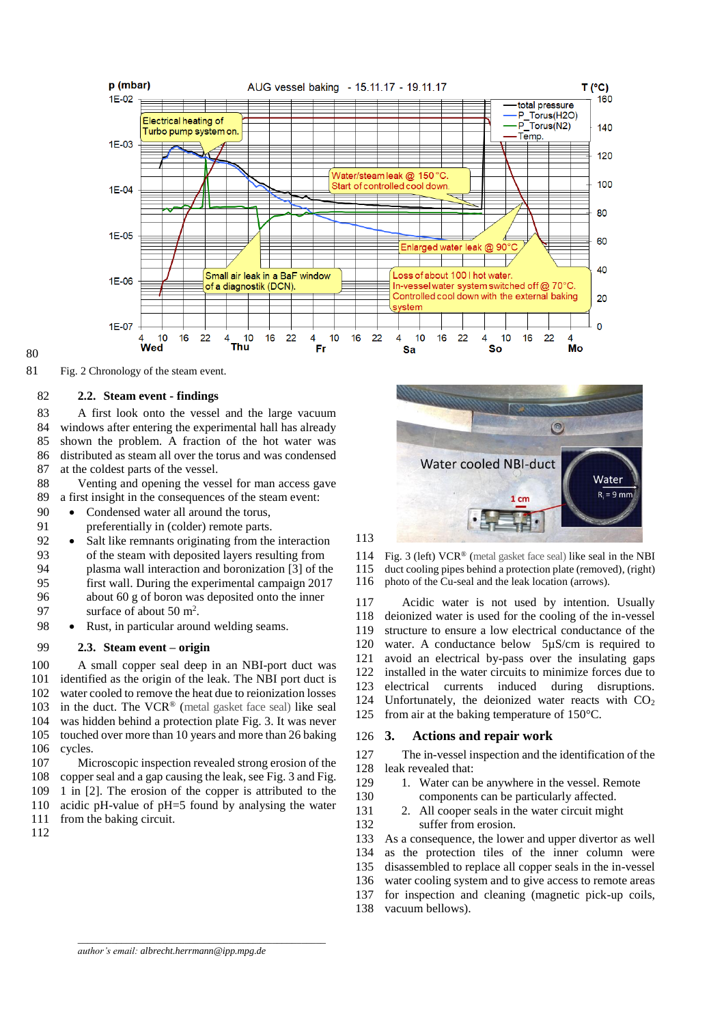

## 

<span id="page-1-0"></span>Fig. 2 Chronology of the steam event.

### **2.2. Steam event - findings**

 A first look onto the vessel and the large vacuum windows after entering the experimental hall has already shown the problem. A fraction of the hot water was distributed as steam all over the torus and was condensed at the coldest parts of the vessel.

 Venting and opening the vessel for man access gave a first insight in the consequences of the steam event:

- 90 Condensed water all around the torus,
- preferentially in (colder) remote parts.
- 92 Salt like remnants originating from the interaction<br>93 of the steam with deposited layers resulting from of the steam with deposited layers resulting from 94 plasma wall interaction and boronization [3] of the 95 first wall During the experimental campaign 2017 first wall. During the experimental campaign 2017 about 60 g of boron was deposited onto the inner
- 97 surface of about 50  $m^2$ .
- Rust, in particular around welding seams.

## **2.3. Steam event – origin**

 A small copper seal deep in an NBI-port duct was identified as the origin of the leak. The NBI port duct is water cooled to remove the heat due to reionization losses 103 in the duct. The VCR<sup>®</sup> (metal gasket face seal) like seal was hidden behind a protection plate [Fig. 3.](#page-1-1) It was never touched over more than 10 years and more than 26 baking cycles.

 Microscopic inspection revealed strong erosion of the copper seal and a gap causing the leak, see [Fig. 3](#page-1-1) and Fig. 1 in [2]. The erosion of the copper is attributed to the acidic pH-value of pH=5 found by analysing the water from the baking circuit.



<span id="page-1-1"></span>114 Fig. 3 (left)  $VCR^{\circ}$  (metal gasket face seal) like seal in the NBI<br>115 duct cooling pines behind a protection plate (removed) (right) 115 duct cooling pipes behind a protection plate (removed), (right) 116 photo of the Cu-seal and the leak location (arrows). photo of the Cu-seal and the leak location (arrows).

 Acidic water is not used by intention. Usually deionized water is used for the cooling of the in-vessel structure to ensure a low electrical conductance of the water. A conductance below 5µS/cm is required to avoid an electrical by-pass over the insulating gaps installed in the water circuits to minimize forces due to electrical currents induced during disruptions. 124 Unfortunately, the deionized water reacts with  $CO<sub>2</sub>$ from air at the baking temperature of 150°C.

### **3. Actions and repair work**

 The in-vessel inspection and the identification of the leak revealed that:

- 129 1. Water can be anywhere in the vessel. Remote components can be particularly affected.
	-
- 2. All cooper seals in the water circuit might suffer from erosion.

 As a consequence, the lower and upper divertor as well as the protection tiles of the inner column were disassembled to replace all copper seals in the in-vessel water cooling system and to give access to remote areas for inspection and cleaning (magnetic pick-up coils, vacuum bellows).

*\_\_\_\_\_\_\_\_\_\_\_\_\_\_\_\_\_\_\_\_\_\_\_\_\_\_\_\_\_\_\_\_\_\_\_\_\_\_\_\_\_\_\_\_\_\_\_\_\_\_\_*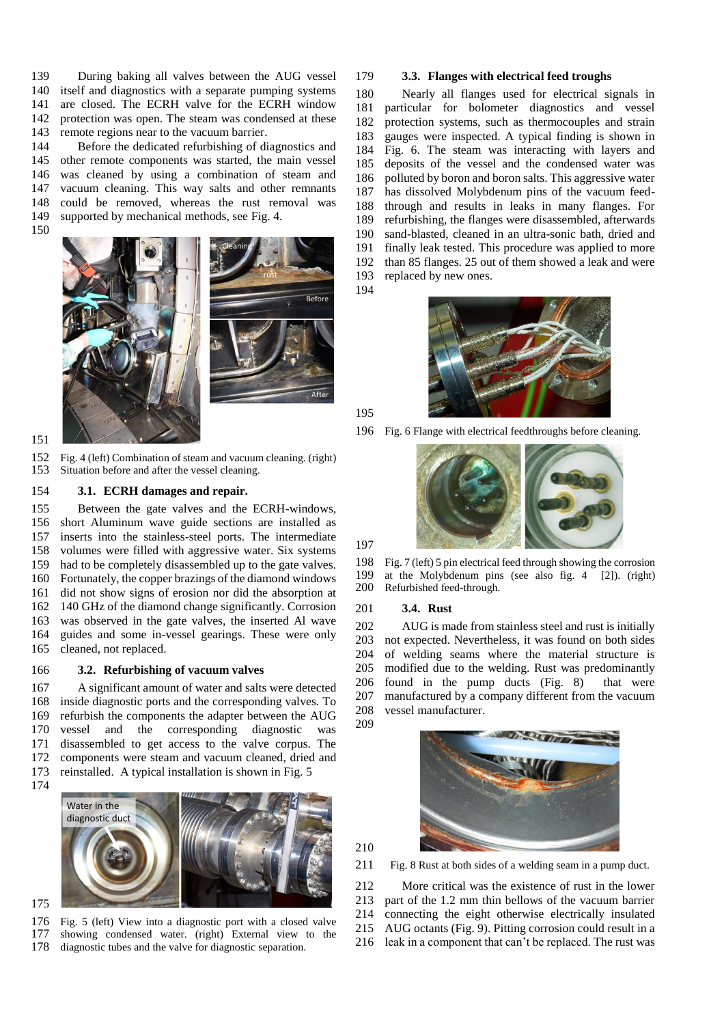139 During baking all valves between the AUG vessel<br>140 itself and diagnostics with a separate pumping systems itself and diagnostics with a separate pumping systems are closed. The ECRH valve for the ECRH window protection was open. The steam was condensed at these remote regions near to the vacuum barrier.

 Before the dedicated refurbishing of diagnostics and other remote components was started, the main vessel was cleaned by using a combination of steam and vacuum cleaning. This way salts and other remnants could be removed, whereas the rust removal was supported by mechanical methods, see [Fig. 4.](#page-2-0)



### <span id="page-2-0"></span> Fig. 4 (left) Combination of steam and vacuum cleaning. (right) Situation before and after the vessel cleaning.

### **3.1. ECRH damages and repair.**

 Between the gate valves and the ECRH-windows, short Aluminum wave guide sections are installed as inserts into the stainless-steel ports. The intermediate volumes were filled with aggressive water. Six systems had to be completely disassembled up to the gate valves. Fortunately, the copper brazings of the diamond windows did not show signs of erosion nor did the absorption at 140 GHz of the diamond change significantly. Corrosion was observed in the gate valves, the inserted Al wave guides and some in-vessel gearings. These were only cleaned, not replaced.

### **3.2. Refurbishing of vacuum valves**

 A significant amount of water and salts were detected inside diagnostic ports and the corresponding valves. To refurbish the components the adapter between the AUG vessel and the corresponding diagnostic was disassembled to get access to the valve corpus. The components were steam and vacuum cleaned, dried and reinstalled. A typical installation is shown in [Fig. 5](#page-2-1)



# 

<span id="page-2-1"></span> Fig. 5 (left) View into a diagnostic port with a closed valve showing condensed water. (right) External view to the diagnostic tubes and the valve for diagnostic separation.

### **3.3. Flanges with electrical feed troughs**

 Nearly all flanges used for electrical signals in particular for bolometer diagnostics and vessel protection systems, such as thermocouples and strain gauges were inspected. A typical finding is shown in [Fig. 6.](#page-2-2) The steam was interacting with layers and deposits of the vessel and the condensed water was 186 polluted by boron and boron salts. This aggressive water<br>187 has dissolved Molvbdenum pins of the vacuum feed-187 has dissolved Molybdenum pins of the vacuum feed-<br>188 through and results in leaks in many flanges. For through and results in leaks in many flanges. For refurbishing, the flanges were disassembled, afterwards sand-blasted, cleaned in an ultra-sonic bath, dried and finally leak tested. This procedure was applied to more than 85 flanges. 25 out of them showed a leak and were replaced by new ones.



<span id="page-2-2"></span>Fig. 6 Flange with electrical feedthroughs before cleaning.



198 Fig. 7 (left) 5 pin electrical feed through showing the corrosion<br>199 at the Molybdenum pins (see also fig. 4 [2]). (right) at the Molybdenum pins (see also fig. 4 [2]). (right) Refurbished feed-through.

### **3.4. Rust**

 AUG is made from stainless steel and rust is initially not expected. Nevertheless, it was found on both sides 204 of welding seams where the material structure is 205 modified due to the welding. Rust was predominantly modified due to the welding. Rust was predominantly found in the pump ducts [\(Fig. 8\)](#page-2-3) that were manufactured by a company different from the vacuum vessel manufacturer.



<span id="page-2-3"></span>Fig. 8 Rust at both sides of a welding seam in a pump duct.

 More critical was the existence of rust in the lower part of the 1.2 mm thin bellows of the vacuum barrier connecting the eight otherwise electrically insulated AUG octants [\(Fig. 9\)](#page-3-0). Pitting corrosion could result in a leak in a component that can't be replaced. The rust was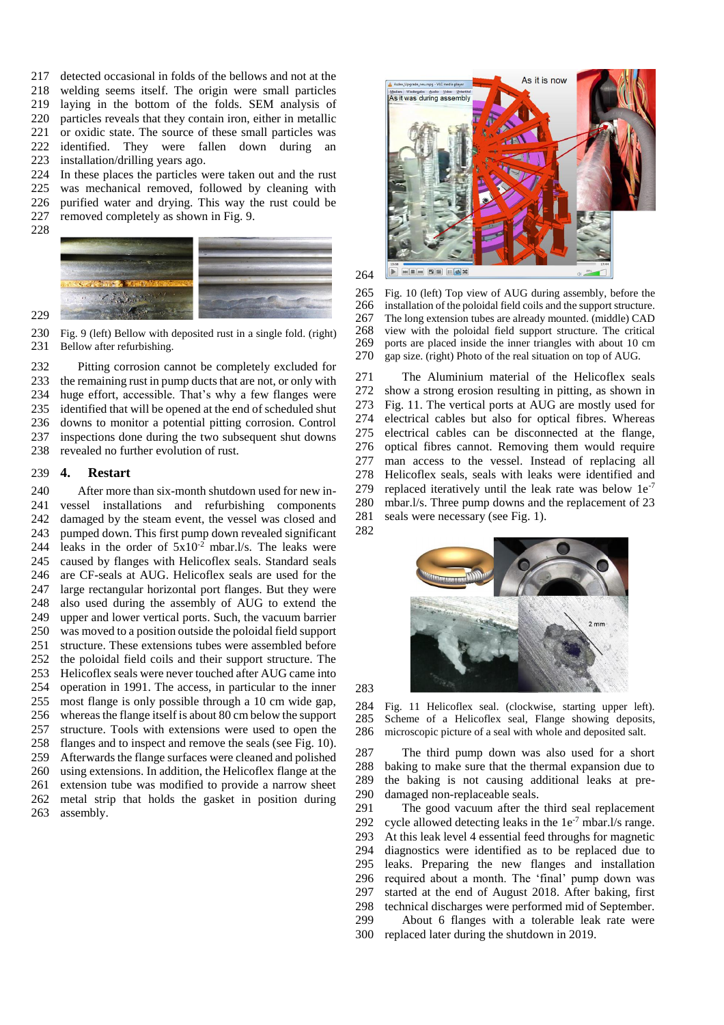217 detected occasional in folds of the bellows and not at the 218 welding seems itself. The origin were small particles welding seems itself. The origin were small particles laying in the bottom of the folds. SEM analysis of particles reveals that they contain iron, either in metallic or oxidic state. The source of these small particles was identified. They were fallen down during an installation/drilling years ago.

224 In these places the particles were taken out and the rust<br>225 was mechanical removed, followed by cleaning with was mechanical removed, followed by cleaning with purified water and drying. This way the rust could be

removed completely as shown in [Fig. 9.](#page-3-0)



<span id="page-3-0"></span>230 Fig. 9 (left) Bellow with deposited rust in a single fold. (right) 231 Bellow after refurbishing. Bellow after refurbishing.

 Pitting corrosion cannot be completely excluded for the remaining rust in pump ducts that are not, or only with huge effort, accessible. That's why a few flanges were identified that will be opened at the end of scheduled shut downs to monitor a potential pitting corrosion. Control inspections done during the two subsequent shut downs revealed no further evolution of rust.

# **4. Restart**

 After more than six-month shutdown used for new in- vessel installations and refurbishing components damaged by the steam event, the vessel was closed and pumped down. This first pump down revealed significant 244 leaks in the order of  $5x10^{-2}$  mbar.l/s. The leaks were caused by flanges with Helicoflex seals. Standard seals are CF-seals at AUG. Helicoflex seals are used for the large rectangular horizontal port flanges. But they were also used during the assembly of AUG to extend the upper and lower vertical ports. Such, the vacuum barrier was moved to a position outside the poloidal field support structure. These extensions tubes were assembled before the poloidal field coils and their support structure. The Helicoflex seals were never touched after AUG came into operation in 1991. The access, in particular to the inner most flange is only possible through a 10 cm wide gap, whereas the flange itself is about 80 cm below the support structure. Tools with extensions were used to open the flanges and to inspect and remove the seals (se[e Fig. 10\)](#page-3-1). Afterwards the flange surfaces were cleaned and polished using extensions. In addition, the Helicoflex flange at the extension tube was modified to provide a narrow sheet metal strip that holds the gasket in position during assembly.



<span id="page-3-1"></span>265 Fig. 10 (left) Top view of AUG during assembly, before the 266 installation of the poloidal field coils and the support structure. 266 installation of the poloidal field coils and the support structure.<br>267 The long extension tubes are already mounted. (middle) CAD The long extension tubes are already mounted. (middle) CAD 268 view with the poloidal field support structure. The critical 269 ports are placed inside the inner triangles with about 10 cm 269 ports are placed inside the inner triangles with about 10 cm gap size, (right) Photo of the real situation on top of AUG. gap size. (right) Photo of the real situation on top of AUG.

 The Aluminium material of the Helicoflex seals show a strong erosion resulting in pitting, as shown in [Fig. 11.](#page-3-2) The vertical ports at AUG are mostly used for electrical cables but also for optical fibres. Whereas electrical cables can be disconnected at the flange, optical fibres cannot. Removing them would require man access to the vessel. Instead of replacing all Helicoflex seals, seals with leaks were identified and 279 replaced iteratively until the leak rate was below  $1e^{-7}$  mbar.l/s. Three pump downs and the replacement of 23 seals were necessary (see [Fig. 1\)](#page-0-0). 



<span id="page-3-2"></span> Fig. 11 Helicoflex seal. (clockwise, starting upper left). Scheme of a Helicoflex seal, Flange showing deposits, microscopic picture of a seal with whole and deposited salt.

 The third pump down was also used for a short baking to make sure that the thermal expansion due to the baking is not causing additional leaks at pre-damaged non-replaceable seals.

 The good vacuum after the third seal replacement 292 cycle allowed detecting leaks in the  $1e^{-7}$  mbar.l/s range. At this leak level 4 essential feed throughs for magnetic diagnostics were identified as to be replaced due to leaks. Preparing the new flanges and installation required about a month. The 'final' pump down was started at the end of August 2018. After baking, first technical discharges were performed mid of September.

 About 6 flanges with a tolerable leak rate were replaced later during the shutdown in 2019.